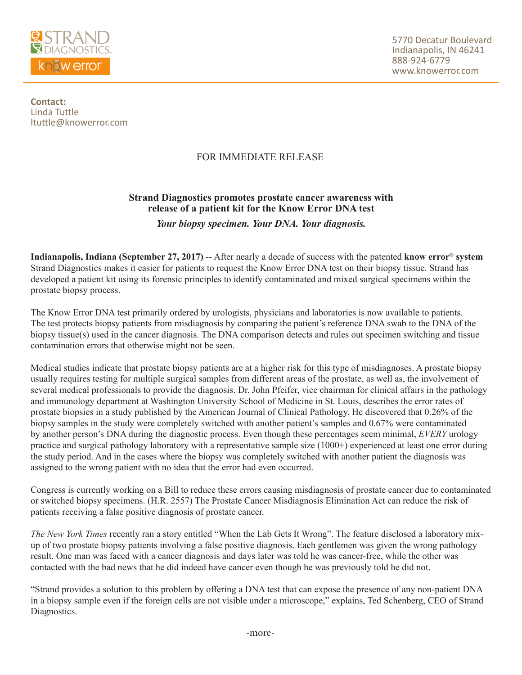

**Contact:** Linda Tuttle ltuttle@knowerror.com

## FOR IMMEDIATE RELEASE

## **Strand Diagnostics promotes prostate cancer awareness with release of a patient kit for the Know Error DNA test** *Your biopsy specimen. Your DNA. Your diagnosis.*

**Indianapolis, Indiana (September 27, 2017)** -- After nearly a decade of success with the patented **know error® system**  Strand Diagnostics makes it easier for patients to request the Know Error DNA test on their biopsy tissue. Strand has developed a patient kit using its forensic principles to identify contaminated and mixed surgical specimens within the prostate biopsy process.

The Know Error DNA test primarily ordered by urologists, physicians and laboratories is now available to patients. The test protects biopsy patients from misdiagnosis by comparing the patient's reference DNA swab to the DNA of the biopsy tissue(s) used in the cancer diagnosis. The DNA comparison detects and rules out specimen switching and tissue contamination errors that otherwise might not be seen.

Medical studies indicate that prostate biopsy patients are at a higher risk for this type of misdiagnoses. A prostate biopsy usually requires testing for multiple surgical samples from different areas of the prostate, as well as, the involvement of several medical professionals to provide the diagnosis. Dr. John Pfeifer, vice chairman for clinical affairs in the pathology and immunology department at Washington University School of Medicine in St. Louis, describes the error rates of prostate biopsies in a study published by the American Journal of Clinical Pathology. He discovered that 0.26% of the biopsy samples in the study were completely switched with another patient's samples and 0.67% were contaminated by another person's DNA during the diagnostic process. Even though these percentages seem minimal, *EVERY* urology practice and surgical pathology laboratory with a representative sample size (1000+) experienced at least one error during the study period. And in the cases where the biopsy was completely switched with another patient the diagnosis was assigned to the wrong patient with no idea that the error had even occurred.

Congress is currently working on a Bill to reduce these errors causing misdiagnosis of prostate cancer due to contaminated or switched biopsy specimens. (H.R. 2557) The Prostate Cancer Misdiagnosis Elimination Act can reduce the risk of patients receiving a false positive diagnosis of prostate cancer.

*The New York Times* recently ran a story entitled "When the Lab Gets It Wrong". The feature disclosed a laboratory mixup of two prostate biopsy patients involving a false positive diagnosis. Each gentlemen was given the wrong pathology result. One man was faced with a cancer diagnosis and days later was told he was cancer-free, while the other was contacted with the bad news that he did indeed have cancer even though he was previously told he did not.

"Strand provides a solution to this problem by offering a DNA test that can expose the presence of any non-patient DNA in a biopsy sample even if the foreign cells are not visible under a microscope," explains, Ted Schenberg, CEO of Strand Diagnostics.